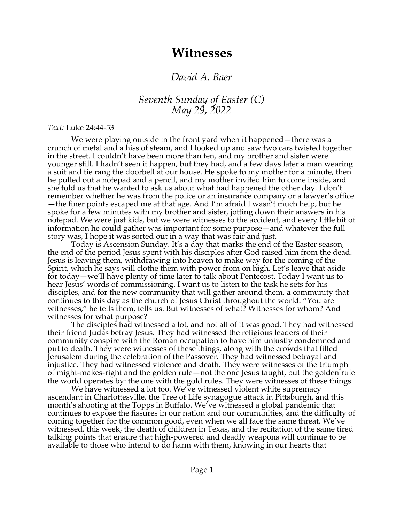## **Witnesses**

## *David A. Baer*

*Seventh Sunday of Easter (C) May 29, 2022*

## *Text:* Luke 24:44-53

We were playing outside in the front yard when it happened—there was a crunch of metal and a hiss of steam, and I looked up and saw two cars twisted together in the street. I couldn't have been more than ten, and my brother and sister were younger still. I hadn't seen it happen, but they had, and a few days later a man wearing a suit and tie rang the doorbell at our house. He spoke to my mother for a minute, then he pulled out a notepad and a pencil, and my mother invited him to come inside, and she told us that he wanted to ask us about what had happened the other day. I don't remember whether he was from the police or an insurance company or a lawyer's office —the finer points escaped me at that age. And I'm afraid I wasn't much help, but he spoke for a few minutes with my brother and sister, jotting down their answers in his notepad. We were just kids, but we were witnesses to the accident, and every little bit of information he could gather was important for some purpose—and whatever the full story was, I hope it was sorted out in a way that was fair and just.

Today is Ascension Sunday. It's a day that marks the end of the Easter season, the end of the period Jesus spent with his disciples after God raised him from the dead. Jesus is leaving them, withdrawing into heaven to make way for the coming of the Spirit, which he says will clothe them with power from on high. Let's leave that aside for today—we'll have plenty of time later to talk about Pentecost. Today I want us to hear Jesus' words of commissioning. I want us to listen to the task he sets for his disciples, and for the new community that will gather around them, a community that continues to this day as the church of Jesus Christ throughout the world. "You are witnesses," he tells them, tells us. But witnesses of what? Witnesses for whom? And witnesses for what purpose?

The disciples had witnessed a lot, and not all of it was good. They had witnessed their friend Judas betray Jesus. They had witnessed the religious leaders of their community conspire with the Roman occupation to have him unjustly condemned and put to death. They were witnesses of these things, along with the crowds that filled Jerusalem during the celebration of the Passover. They had witnessed betrayal and injustice. They had witnessed violence and death. They were witnesses of the triumph of might-makes-right and the golden rule—not the one Jesus taught, but the golden rule the world operates by: the one with the gold rules. They were witnesses of these things.

We have witnessed a lot too. We've witnessed violent white supremacy ascendant in Charlottesville, the Tree of Life synagogue attack in Pittsburgh, and this month's shooting at the Topps in Buffalo. We've witnessed a global pandemic that continues to expose the fissures in our nation and our communities, and the difficulty of coming together for the common good, even when we all face the same threat. We've witnessed, this week, the death of children in Texas, and the recitation of the same tired talking points that ensure that high-powered and deadly weapons will continue to be available to those who intend to do harm with them, knowing in our hearts that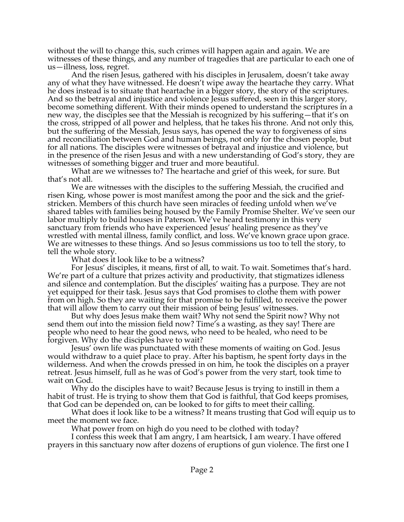without the will to change this, such crimes will happen again and again. We are witnesses of these things, and any number of tragedies that are particular to each one of us—illness, loss, regret.

And the risen Jesus, gathered with his disciples in Jerusalem, doesn't take away any of what they have witnessed. He doesn't wipe away the heartache they carry. What he does instead is to situate that heartache in a bigger story, the story of the scriptures. And so the betrayal and injustice and violence Jesus suffered, seen in this larger story, become something different. With their minds opened to understand the scriptures in a new way, the disciples see that the Messiah is recognized by his suffering—that it's on the cross, stripped of all power and helpless, that he takes his throne. And not only this, but the suffering of the Messiah, Jesus says, has opened the way to forgiveness of sins and reconciliation between God and human beings, not only for the chosen people, but for all nations. The disciples were witnesses of betrayal and injustice and violence, but in the presence of the risen Jesus and with a new understanding of God's story, they are witnesses of something bigger and truer and more beautiful.

What are we witnesses to? The heartache and grief of this week, for sure. But that's not all.

We are witnesses with the disciples to the suffering Messiah, the crucified and risen King, whose power is most manifest among the poor and the sick and the griefstricken. Members of this church have seen miracles of feeding unfold when we've shared tables with families being housed by the Family Promise Shelter. We've seen our labor multiply to build houses in Paterson. We've heard testimony in this very sanctuary from friends who have experienced Jesus' healing presence as they've wrestled with mental illness, family conflict, and loss. We've known grace upon grace. We are witnesses to these things. And so Jesus commissions us too to tell the story, to tell the whole story.

What does it look like to be a witness?

For Jesus' disciples, it means, first of all, to wait. To wait. Sometimes that's hard. We're part of a culture that prizes activity and productivity, that stigmatizes idleness and silence and contemplation. But the disciples' waiting has a purpose. They are not yet equipped for their task. Jesus says that God promises to clothe them with power from on high. So they are waiting for that promise to be fulfilled, to receive the power that will allow them to carry out their mission of being Jesus' witnesses.

But why does Jesus make them wait? Why not send the Spirit now? Why not send them out into the mission field now? Time's a wasting, as they say! There are people who need to hear the good news, who need to be healed, who need to be forgiven. Why do the disciples have to wait?

Jesus' own life was punctuated with these moments of waiting on God. Jesus would withdraw to a quiet place to pray. After his baptism, he spent forty days in the wilderness. And when the crowds pressed in on him, he took the disciples on a prayer retreat. Jesus himself, full as he was of God's power from the very start, took time to wait on God.

Why do the disciples have to wait? Because Jesus is trying to instill in them a habit of trust. He is trying to show them that God is faithful, that God keeps promises, that God can be depended on, can be looked to for gifts to meet their calling.

What does it look like to be a witness? It means trusting that God will equip us to meet the moment we face.

What power from on high do you need to be clothed with today?

I confess this week that I am angry, I am heartsick, I am weary. I have offered prayers in this sanctuary now after dozens of eruptions of gun violence. The first one I